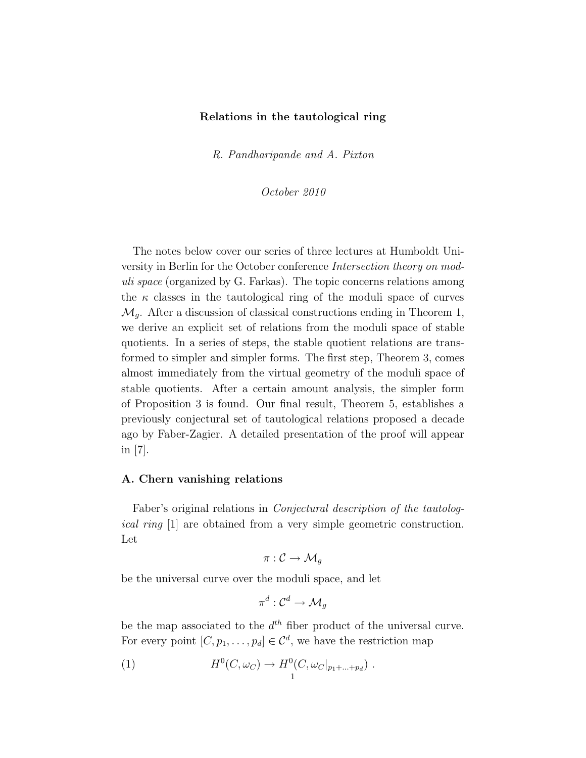# Relations in the tautological ring

R. Pandharipande and A. Pixton

October 2010

The notes below cover our series of three lectures at Humboldt University in Berlin for the October conference Intersection theory on moduli space (organized by G. Farkas). The topic concerns relations among the  $\kappa$  classes in the tautological ring of the moduli space of curves  $\mathcal{M}_q$ . After a discussion of classical constructions ending in Theorem 1, we derive an explicit set of relations from the moduli space of stable quotients. In a series of steps, the stable quotient relations are transformed to simpler and simpler forms. The first step, Theorem 3, comes almost immediately from the virtual geometry of the moduli space of stable quotients. After a certain amount analysis, the simpler form of Proposition 3 is found. Our final result, Theorem 5, establishes a previously conjectural set of tautological relations proposed a decade ago by Faber-Zagier. A detailed presentation of the proof will appear in [7].

# A. Chern vanishing relations

Faber's original relations in Conjectural description of the tautological ring [1] are obtained from a very simple geometric construction. Let

$$
\pi:\mathcal{C}\to \mathcal{M}_g
$$

be the universal curve over the moduli space, and let

$$
\pi^d: \mathcal{C}^d \to \mathcal{M}_g
$$

be the map associated to the  $d^{th}$  fiber product of the universal curve. For every point  $[C, p_1, \ldots, p_d] \in \mathcal{C}^d$ , we have the restriction map

(1) 
$$
H^{0}(C, \omega_{C}) \to H^{0}(C, \omega_{C}|_{p_{1}+\ldots+p_{d}}).
$$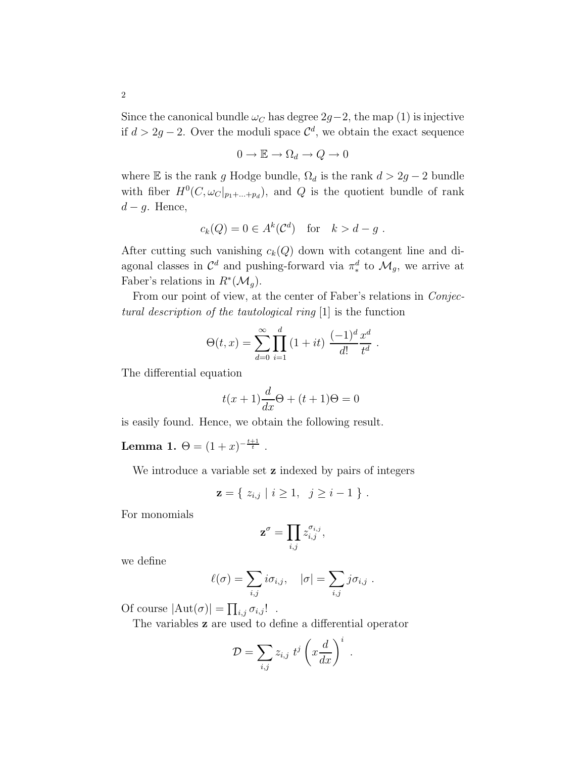Since the canonical bundle  $\omega_C$  has degree 2g−2, the map (1) is injective if  $d > 2g - 2$ . Over the moduli space  $\mathcal{C}^d$ , we obtain the exact sequence

$$
0 \to \mathbb{E} \to \Omega_d \to Q \to 0
$$

where E is the rank g Hodge bundle,  $\Omega_d$  is the rank  $d > 2g - 2$  bundle with fiber  $H^0(C, \omega_C|_{p_1+\ldots+p_d})$ , and Q is the quotient bundle of rank  $d-g$ . Hence,

$$
c_k(Q) = 0 \in A^k(\mathcal{C}^d) \quad \text{for} \quad k > d - g.
$$

After cutting such vanishing  $c_k(Q)$  down with cotangent line and diagonal classes in  $\mathcal{C}^d$  and pushing-forward via  $\pi_*^d$  to  $\mathcal{M}_g$ , we arrive at Faber's relations in  $R^*(\mathcal{M}_g)$ .

From our point of view, at the center of Faber's relations in *Conjec*tural description of the tautological ring [1] is the function

$$
\Theta(t, x) = \sum_{d=0}^{\infty} \prod_{i=1}^{d} (1 + it) \frac{(-1)^d x^d}{d! x^d}
$$

.

The differential equation

$$
t(x+1)\frac{d}{dx}\Theta + (t+1)\Theta = 0
$$

is easily found. Hence, we obtain the following result.

Lemma 1.  $\Theta = (1+x)^{-\frac{t+1}{t}}$ .

We introduce a variable set **z** indexed by pairs of integers

$$
\mathbf{z} = \{ z_{i,j} \mid i \geq 1, \ j \geq i-1 \} .
$$

For monomials

$$
\mathbf{z}^{\sigma} = \prod_{i,j} z_{i,j}^{\sigma_{i,j}},
$$

we define

$$
\ell(\sigma) = \sum_{i,j} i\sigma_{i,j}, \quad |\sigma| = \sum_{i,j} j\sigma_{i,j} .
$$

Of course  $|\text{Aut}(\sigma)| = \prod_{i,j} \sigma_{i,j}!$ .

The variables z are used to define a differential operator

$$
\mathcal{D} = \sum_{i,j} z_{i,j} t^j \left( x \frac{d}{dx} \right)^i .
$$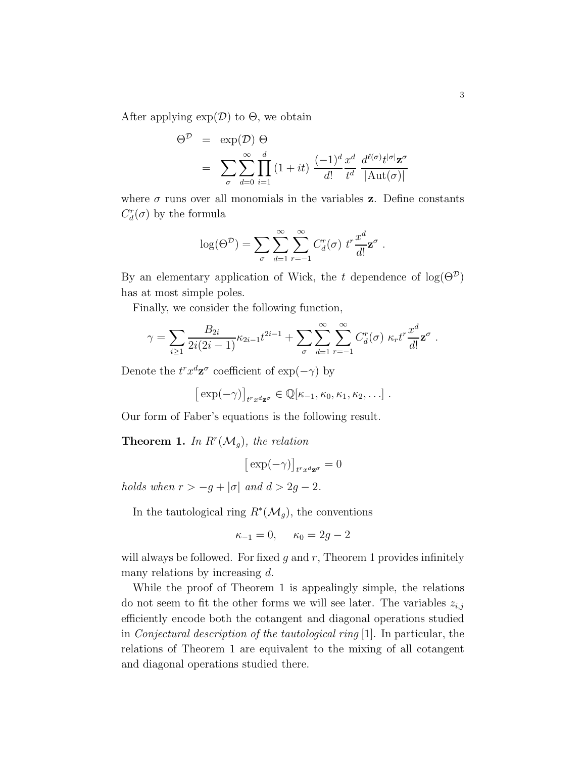After applying  $\exp(D)$  to  $\Theta$ , we obtain

$$
\Theta^{\mathcal{D}} = \exp(\mathcal{D}) \Theta
$$
  
=  $\sum_{\sigma} \sum_{d=0}^{\infty} \prod_{i=1}^{d} (1+it) \frac{(-1)^{d} x^{d}}{d!} \frac{d^{\ell(\sigma)} t^{|\sigma|} \mathbf{z}^{\sigma}}{|\text{Aut}(\sigma)|}$ 

where  $\sigma$  runs over all monomials in the variables **z**. Define constants  $C_d^r(\sigma)$  by the formula

$$
\log(\Theta^{\mathcal{D}}) = \sum_{\sigma} \sum_{d=1}^{\infty} \sum_{r=-1}^{\infty} C_d^r(\sigma) t^r \frac{x^d}{d!} \mathbf{z}^{\sigma}.
$$

By an elementary application of Wick, the t dependence of  $log(\Theta^{\mathcal{D}})$ has at most simple poles.

Finally, we consider the following function,

$$
\gamma = \sum_{i\geq 1} \frac{B_{2i}}{2i(2i-1)} \kappa_{2i-1} t^{2i-1} + \sum_{\sigma} \sum_{d=1}^{\infty} \sum_{r=-1}^{\infty} C_d^r(\sigma) \kappa_r t^r \frac{x^d}{d!} \mathbf{z}^{\sigma} .
$$

Denote the  $t^r x^d \mathbf{z}^{\sigma}$  coefficient of  $\exp(-\gamma)$  by

$$
[\exp(-\gamma)]_{t^r x^d \mathbf{z}^\sigma} \in \mathbb{Q}[\kappa_{-1}, \kappa_0, \kappa_1, \kappa_2, \ldots].
$$

Our form of Faber's equations is the following result.

**Theorem 1.** In  $R^r(\mathcal{M}_g)$ , the relation

$$
\big[\exp(-\gamma)\big]_{t^r x^d \mathbf{z}^\sigma}=0
$$

holds when  $r > -g + |\sigma|$  and  $d > 2g - 2$ .

In the tautological ring  $R^*(\mathcal{M}_g)$ , the conventions

$$
\kappa_{-1} = 0
$$
,  $\kappa_0 = 2g - 2$ 

will always be followed. For fixed  $q$  and  $r$ , Theorem 1 provides infinitely many relations by increasing  $d$ .

While the proof of Theorem 1 is appealingly simple, the relations do not seem to fit the other forms we will see later. The variables  $z_{i,j}$ efficiently encode both the cotangent and diagonal operations studied in Conjectural description of the tautological ring [1]. In particular, the relations of Theorem 1 are equivalent to the mixing of all cotangent and diagonal operations studied there.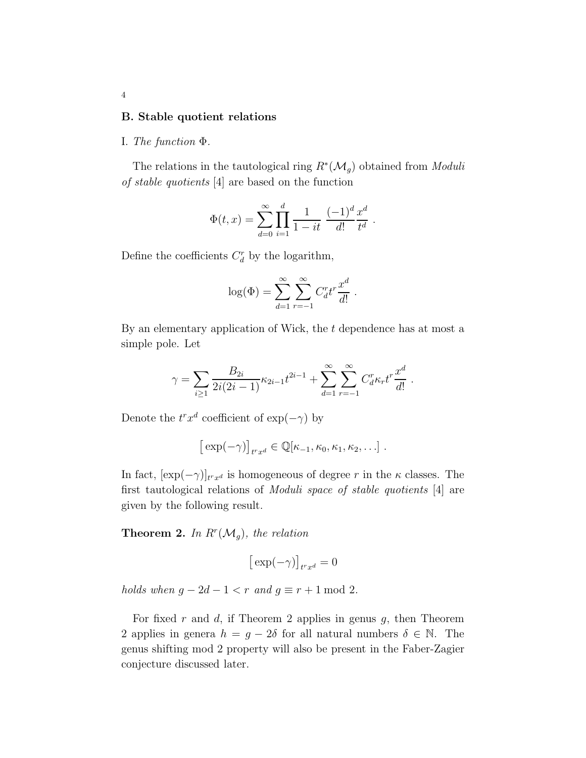#### B. Stable quotient relations

## I. The function Φ.

The relations in the tautological ring  $R^*(\mathcal{M}_g)$  obtained from *Moduli* of stable quotients [4] are based on the function

$$
\Phi(t,x) = \sum_{d=0}^{\infty} \prod_{i=1}^{d} \frac{1}{1-it} \frac{(-1)^d}{d!} \frac{x^d}{t^d}.
$$

Define the coefficients  $C_d^r$  by the logarithm,

$$
\log(\Phi) = \sum_{d=1}^{\infty} \sum_{r=-1}^{\infty} C_d^r t^r \frac{x^d}{d!}.
$$

By an elementary application of Wick, the  $t$  dependence has at most a simple pole. Let

$$
\gamma = \sum_{i \geq 1} \frac{B_{2i}}{2i(2i-1)} \kappa_{2i-1} t^{2i-1} + \sum_{d=1}^{\infty} \sum_{r=-1}^{\infty} C_d^r \kappa_r t^r \frac{x^d}{d!}
$$

.

Denote the  $t^r x^d$  coefficient of  $\exp(-\gamma)$  by

$$
[\exp(-\gamma)]_{t^r x^d} \in \mathbb{Q}[\kappa_{-1}, \kappa_0, \kappa_1, \kappa_2, \ldots].
$$

In fact,  $[\exp(-\gamma)]_{t^r x^d}$  is homogeneous of degree r in the  $\kappa$  classes. The first tautological relations of Moduli space of stable quotients [4] are given by the following result.

**Theorem 2.** In  $R^r(\mathcal{M}_g)$ , the relation

$$
\big[\exp(-\gamma)\big]_{t^r x^d}=0
$$

holds when  $g - 2d - 1 < r$  and  $g \equiv r + 1 \mod 2$ .

For fixed r and d, if Theorem 2 applies in genus  $g$ , then Theorem 2 applies in genera  $h = g - 2\delta$  for all natural numbers  $\delta \in \mathbb{N}$ . The genus shifting mod 2 property will also be present in the Faber-Zagier conjecture discussed later.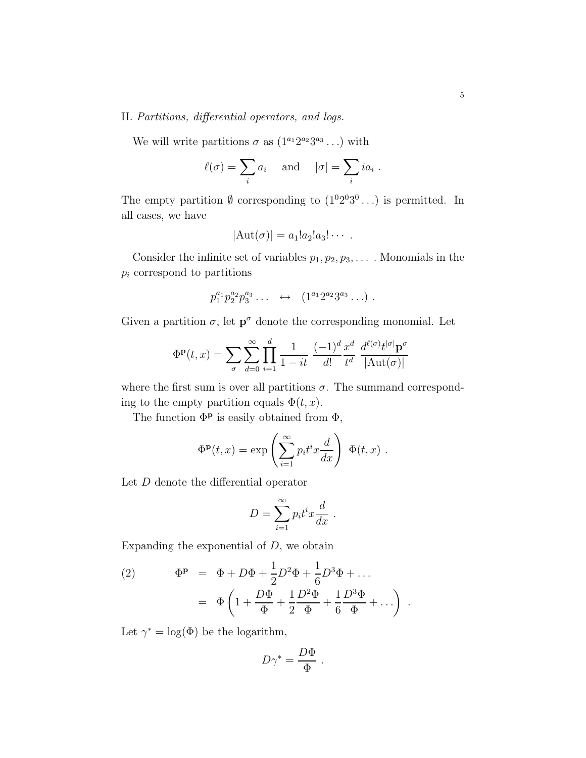# II. Partitions, differential operators, and logs.

We will write partitions  $\sigma$  as  $(1^{a_1}2^{a_2}3^{a_3}\ldots)$  with

$$
\ell(\sigma) = \sum_i a_i
$$
 and  $|\sigma| = \sum_i i a_i$ .

The empty partition  $\emptyset$  corresponding to  $(1^02^03^0...)$  is permitted. In all cases, we have

$$
|\mathrm{Aut}(\sigma)|=a_1!a_2!a_3!\cdots.
$$

Consider the infinite set of variables  $p_1, p_2, p_3, \ldots$ . Monomials in the  $p_i$  correspond to partitions

$$
p_1^{a_1} p_2^{a_2} p_3^{a_3} \ldots \quad \leftrightarrow \quad (1^{a_1} 2^{a_2} 3^{a_3} \ldots) \; .
$$

Given a partition  $\sigma$ , let  $p^{\sigma}$  denote the corresponding monomial. Let

$$
\Phi^{\mathbf{p}}(t,x) = \sum_{\sigma} \sum_{d=0}^{\infty} \prod_{i=1}^{d} \frac{1}{1-it} \frac{(-1)^{d}}{d!} \frac{x^{d}}{t^{d}} \frac{d^{\ell(\sigma)}t^{|\sigma|} \mathbf{p}^{\sigma}}{|\text{Aut}(\sigma)|}
$$

where the first sum is over all partitions  $\sigma$ . The summand corresponding to the empty partition equals  $\Phi(t, x)$ .

The function  $\Phi$ <sup>p</sup> is easily obtained from  $\Phi$ ,

$$
\Phi^{\mathbf{p}}(t,x) = \exp\left(\sum_{i=1}^{\infty} p_i t^i x \frac{d}{dx}\right) \Phi(t,x) .
$$

Let D denote the differential operator

$$
D = \sum_{i=1}^{\infty} p_i t^i x \frac{d}{dx} .
$$

Expanding the exponential of  $D$ , we obtain

(2) 
$$
\Phi^{P} = \Phi + D\Phi + \frac{1}{2}D^{2}\Phi + \frac{1}{6}D^{3}\Phi + \dots
$$

$$
= \Phi \left( 1 + \frac{D\Phi}{\Phi} + \frac{1}{2}\frac{D^{2}\Phi}{\Phi} + \frac{1}{6}\frac{D^{3}\Phi}{\Phi} + \dots \right) .
$$

Let  $\gamma^* = \log(\Phi)$  be the logarithm,

$$
D\gamma^* = \frac{D\Phi}{\Phi}.
$$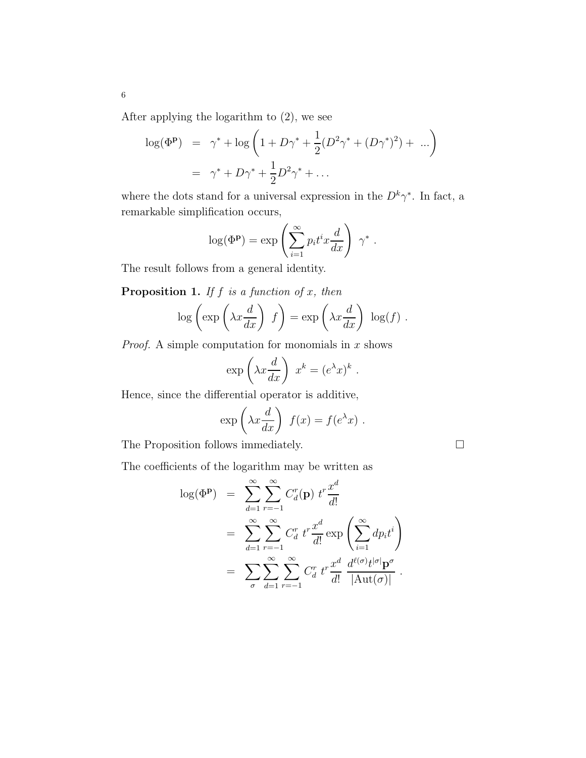After applying the logarithm to (2), we see

$$
\log(\Phi^{\mathbf{p}}) = \gamma^* + \log\left(1 + D\gamma^* + \frac{1}{2}(D^2\gamma^* + (D\gamma^*)^2) + \dots\right)
$$
  
=  $\gamma^* + D\gamma^* + \frac{1}{2}D^2\gamma^* + \dots$ 

where the dots stand for a universal expression in the  $D^k \gamma^*$ . In fact, a remarkable simplification occurs,

$$
\log(\Phi^{\mathbf{p}}) = \exp\left(\sum_{i=1}^{\infty} p_i t^i x \frac{d}{dx}\right) \gamma^*.
$$

The result follows from a general identity.

**Proposition 1.** If  $f$  is a function of  $x$ , then

$$
\log\left(\exp\left(\lambda x \frac{d}{dx}\right) f\right) = \exp\left(\lambda x \frac{d}{dx}\right) \log(f).
$$

*Proof.* A simple computation for monomials in  $x$  shows

$$
\exp\left(\lambda x \frac{d}{dx}\right) x^k = (e^{\lambda} x)^k.
$$

Hence, since the differential operator is additive,

$$
\exp\left(\lambda x \frac{d}{dx}\right) f(x) = f(e^{\lambda} x) .
$$

The Proposition follows immediately.  $\Box$ 

The coefficients of the logarithm may be written as

$$
\log(\Phi^{\mathbf{p}}) = \sum_{d=1}^{\infty} \sum_{r=-1}^{\infty} C_d^r(\mathbf{p}) t^r \frac{x^d}{d!}
$$
  
\n
$$
= \sum_{d=1}^{\infty} \sum_{r=-1}^{\infty} C_d^r t^r \frac{x^d}{d!} \exp\left(\sum_{i=1}^{\infty} dp_i t^i\right)
$$
  
\n
$$
= \sum_{\sigma} \sum_{d=1}^{\infty} \sum_{r=-1}^{\infty} C_d^r t^r \frac{x^d}{d!} \frac{d^{\ell(\sigma)} t^{|\sigma|} \mathbf{p}^{\sigma}}{|\mathrm{Aut}(\sigma)|}.
$$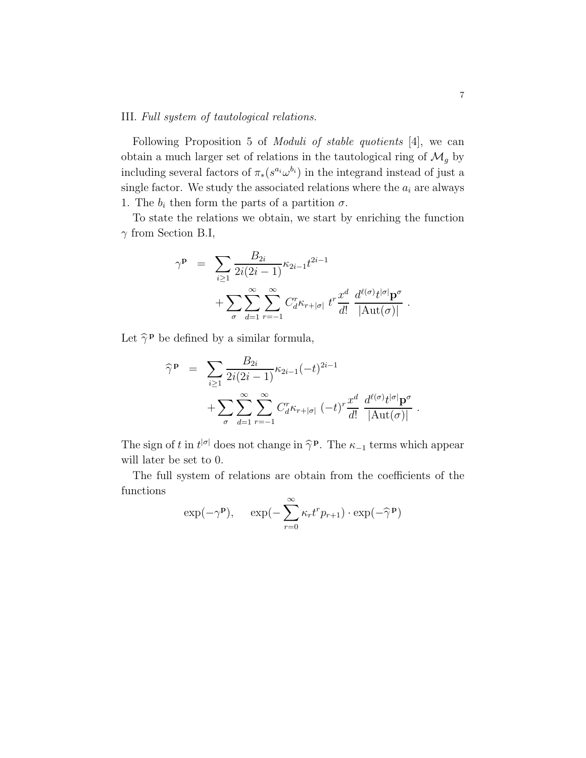# III. Full system of tautological relations.

Following Proposition 5 of Moduli of stable quotients [4], we can obtain a much larger set of relations in the tautological ring of  $\mathcal{M}_g$  by including several factors of  $\pi_*(s^{a_i} \omega^{b_i})$  in the integrand instead of just a single factor. We study the associated relations where the  $\boldsymbol{a}_i$  are always 1. The  $b_i$  then form the parts of a partition  $\sigma$ .

To state the relations we obtain, we start by enriching the function  $\gamma$  from Section B.I,

$$
\gamma^{\mathbf{p}} = \sum_{i \ge 1} \frac{B_{2i}}{2i(2i-1)} \kappa_{2i-1} t^{2i-1} + \sum_{\sigma} \sum_{d=1}^{\infty} \sum_{r=-1}^{\infty} C_d^r \kappa_{r+|\sigma|} t^r \frac{x^d}{d!} \frac{d^{\ell(\sigma)} t^{|\sigma|} \mathbf{p}^{\sigma}}{|\mathrm{Aut}(\sigma)|}
$$

Let  $\hat{\gamma}^{\mathbf{p}}$  be defined by a similar formula,

$$
\widehat{\gamma}^{\mathbf{p}} = \sum_{i \geq 1} \frac{B_{2i}}{2i(2i-1)} \kappa_{2i-1}(-t)^{2i-1} + \sum_{\sigma} \sum_{d=1}^{\infty} \sum_{r=-1}^{\infty} C_d^r \kappa_{r+|\sigma|} (-t)^r \frac{x^d}{d!} \frac{d^{\ell(\sigma)} t^{|\sigma|} \mathbf{p}^{\sigma}}{|\mathrm{Aut}(\sigma)|}.
$$

The sign of t in  $t^{|\sigma|}$  does not change in  $\hat{\gamma}^{\mathbf{p}}$ . The  $\kappa_{-1}$  terms which appear will later be set to 0.

The full system of relations are obtain from the coefficients of the functions

$$
\exp(-\gamma^{\mathbf{p}}), \quad \exp(-\sum_{r=0}^{\infty} \kappa_r t^r p_{r+1}) \cdot \exp(-\widehat{\gamma}^{\mathbf{p}})
$$

.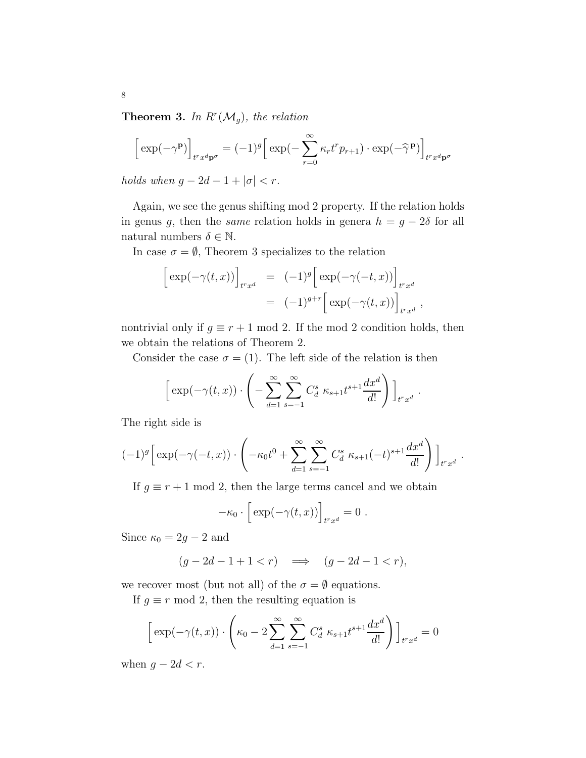**Theorem 3.** In  $R^r(\mathcal{M}_g)$ , the relation

$$
\left[\exp(-\gamma^{\mathbf{p}})\right]_{t^r x^d \mathbf{p}^\sigma} = (-1)^g \left[\exp(-\sum_{r=0}^\infty \kappa_r t^r p_{r+1}) \cdot \exp(-\widehat{\gamma}^\mathbf{p})\right]_{t^r x^d \mathbf{p}^\sigma}
$$

holds when  $g - 2d - 1 + |\sigma| < r$ .

Again, we see the genus shifting mod 2 property. If the relation holds in genus g, then the *same* relation holds in genera  $h = g - 2\delta$  for all natural numbers  $\delta \in \mathbb{N}$ .

In case  $\sigma = \emptyset$ , Theorem 3 specializes to the relation

$$
\begin{aligned} \left[ \exp(-\gamma(t,x)) \right]_{t^r x^d} &= (-1)^g \left[ \exp(-\gamma(-t,x)) \right]_{t^r x^d} \\ &= (-1)^{g+r} \left[ \exp(-\gamma(t,x)) \right]_{t^r x^d}, \end{aligned}
$$

nontrivial only if  $g \equiv r + 1 \mod 2$ . If the mod 2 condition holds, then we obtain the relations of Theorem 2.

Consider the case  $\sigma = (1)$ . The left side of the relation is then

$$
\[\exp(-\gamma(t,x)) \cdot \left(-\sum_{d=1}^{\infty} \sum_{s=-1}^{\infty} C_d^s \kappa_{s+1} t^{s+1} \frac{dx^d}{d!}\right)\]_{t^r x^d}
$$

.

.

The right side is

$$
(-1)^{g} \left[ \exp(-\gamma(-t,x)) \cdot \left( -\kappa_0 t^0 + \sum_{d=1}^{\infty} \sum_{s=-1}^{\infty} C_d^s \ \kappa_{s+1} (-t)^{s+1} \frac{dx^d}{d!} \right) \right]_{t^r x^d}
$$

If  $g \equiv r + 1 \mod 2$ , then the large terms cancel and we obtain

$$
-\kappa_0 \cdot \left[ \exp(-\gamma(t,x)) \right]_{t^r x^d} = 0.
$$

Since  $\kappa_0 = 2g - 2$  and

$$
(g - 2d - 1 + 1 < r) \quad \Longrightarrow \quad (g - 2d - 1 < r),
$$

we recover most (but not all) of the  $\sigma = \emptyset$  equations.

If  $g \equiv r \mod 2$ , then the resulting equation is

$$
\left[\exp(-\gamma(t,x))\cdot \left(\kappa_0 - 2\sum_{d=1}^{\infty}\sum_{s=-1}^{\infty}C_d^s\ \kappa_{s+1}t^{s+1}\frac{dx^d}{d!}\right)\right]_{t^r x^d} = 0
$$

when  $g - 2d < r$ .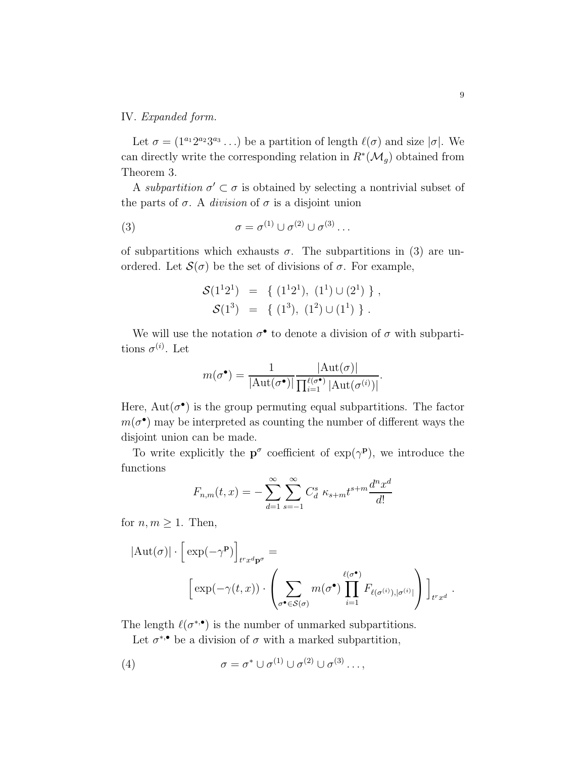# IV. Expanded form.

Let  $\sigma = (1^{a_1}2^{a_2}3^{a_3} \dots)$  be a partition of length  $\ell(\sigma)$  and size  $|\sigma|$ . We can directly write the corresponding relation in  $R^*(\mathcal{M}_g)$  obtained from Theorem 3.

A subpartition  $\sigma' \subset \sigma$  is obtained by selecting a nontrivial subset of the parts of  $\sigma$ . A *division* of  $\sigma$  is a disjoint union

(3) 
$$
\sigma = \sigma^{(1)} \cup \sigma^{(2)} \cup \sigma^{(3)} \dots
$$

of subpartitions which exhausts  $\sigma$ . The subpartitions in (3) are unordered. Let  $\mathcal{S}(\sigma)$  be the set of divisions of  $\sigma$ . For example,

$$
\mathcal{S}(1^{1}2^{1}) = \{ (1^{1}2^{1}), (1^{1}) \cup (2^{1}) \}, \n\mathcal{S}(1^{3}) = \{ (1^{3}), (1^{2}) \cup (1^{1}) \}.
$$

We will use the notation  $\sigma^{\bullet}$  to denote a division of  $\sigma$  with subpartitions  $\sigma^{(i)}$ . Let

$$
m(\sigma^{\bullet}) = \frac{1}{|\text{Aut}(\sigma^{\bullet})|} \frac{|\text{Aut}(\sigma)|}{\prod_{i=1}^{\ell(\sigma^{\bullet})} |\text{Aut}(\sigma^{(i)})|}.
$$

Here,  $Aut(\sigma^{\bullet})$  is the group permuting equal subpartitions. The factor  $m(\sigma^{\bullet})$  may be interpreted as counting the number of different ways the disjoint union can be made.

To write explicitly the  $p^{\sigma}$  coefficient of  $\exp(\gamma^p)$ , we introduce the functions

$$
F_{n,m}(t,x) = -\sum_{d=1}^{\infty} \sum_{s=-1}^{\infty} C_d^s \kappa_{s+m} t^{s+m} \frac{d^n x^d}{d!}
$$

for  $n, m \geq 1$ . Then,

$$
|\text{Aut}(\sigma)| \cdot \left[ \exp(-\gamma^{\mathbf{p}}) \right]_{t^r x^d \mathbf{p}^{\sigma}} =
$$

$$
\left[ \exp(-\gamma(t, x)) \cdot \left( \sum_{\sigma^{\bullet} \in \mathcal{S}(\sigma)} m(\sigma^{\bullet}) \prod_{i=1}^{\ell(\sigma^{\bullet})} F_{\ell(\sigma^{(i)}), |\sigma^{(i)}|} \right) \right]_{t^r x^d}.
$$

The length  $\ell(\sigma^{*,\bullet})$  is the number of unmarked subpartitions.

Let  $\sigma^{*,\bullet}$  be a division of  $\sigma$  with a marked subpartition,

(4) 
$$
\sigma = \sigma^* \cup \sigma^{(1)} \cup \sigma^{(2)} \cup \sigma^{(3)} \dots,
$$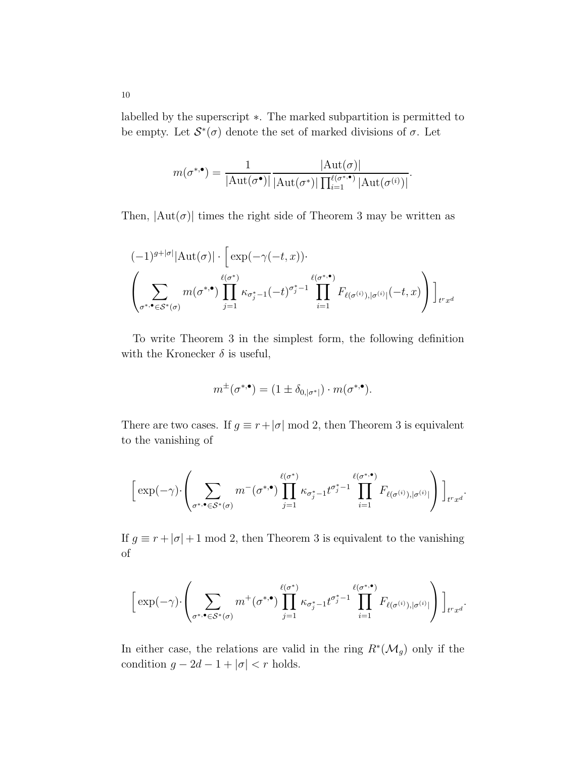labelled by the superscript ∗. The marked subpartition is permitted to be empty. Let  $\mathcal{S}^*(\sigma)$  denote the set of marked divisions of  $\sigma$ . Let

$$
m(\sigma^{*,\bullet}) = \frac{1}{|\mathrm{Aut}(\sigma^{\bullet})|} \frac{|\mathrm{Aut}(\sigma)|}{|\mathrm{Aut}(\sigma^{*})| \prod_{i=1}^{\ell(\sigma^{*,\bullet})} |\mathrm{Aut}(\sigma^{(i)})|}.
$$

Then,  $|\text{Aut}(\sigma)|$  times the right side of Theorem 3 may be written as

$$
(-1)^{g+|\sigma|}|\text{Aut}(\sigma)| \cdot \left[\exp(-\gamma(-t,x))\cdot \right]
$$

$$
\left(\sum_{\sigma^*, \bullet \in \mathcal{S}^*(\sigma)} m(\sigma^{*,\bullet}) \prod_{j=1}^{\ell(\sigma^*)} \kappa_{\sigma_j^*-1}(-t)^{\sigma_j^*-1} \prod_{i=1}^{\ell(\sigma^{*,\bullet})} F_{\ell(\sigma^{(i)}), |\sigma^{(i)}|}(-t,x)\right)\right]_{t^r x^d}
$$

To write Theorem 3 in the simplest form, the following definition with the Kronecker  $\delta$  is useful,

$$
m^{\pm}(\sigma^{*,\bullet}) = (1 \pm \delta_{0,|\sigma^*|}) \cdot m(\sigma^{*,\bullet}).
$$

There are two cases. If  $g \equiv r + |\sigma| \mod 2$ , then Theorem 3 is equivalent to the vanishing of

$$
\left[\exp(-\gamma)\cdot\left(\sum_{\sigma^*\cdot\bullet\in\mathcal{S}^*(\sigma)}m^-(\sigma^{*,\bullet})\prod_{j=1}^{\ell(\sigma^*)}\kappa_{\sigma^*_j-1}t^{\sigma^*_j-1}\prod_{i=1}^{\ell(\sigma^{*,\bullet})}F_{\ell(\sigma^{(i)}),|\sigma^{(i)}|}\right)\right]_{t^r x^d}.
$$

If  $g \equiv r + |\sigma| + 1 \mod 2$ , then Theorem 3 is equivalent to the vanishing of

$$
\left[\exp(-\gamma)\cdot\left(\sum_{\sigma^*\cdot\bullet\in\mathcal{S}^*(\sigma)}m^+(\sigma^{*\bullet})\prod_{j=1}^{\ell(\sigma^*)}\kappa_{\sigma^*_j-1}t^{\sigma^*_j-1}\prod_{i=1}^{\ell(\sigma^{*\bullet})}F_{\ell(\sigma^{(i)}),|\sigma^{(i)}|}\right)\right]_{t^r x^d}.
$$

In either case, the relations are valid in the ring  $R^*(\mathcal{M}_g)$  only if the condition  $g - 2d - 1 + |\sigma| < r$  holds.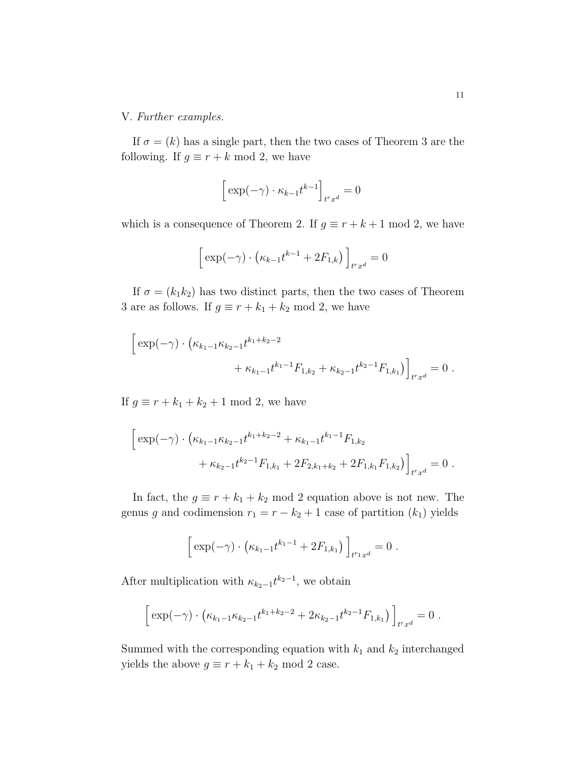V. Further examples.

If  $\sigma = (k)$  has a single part, then the two cases of Theorem 3 are the following. If  $g \equiv r + k \mod 2$ , we have

$$
\Big[\exp(-\gamma)\cdot\kappa_{k-1}t^{k-1}\Big]_{t^r x^d}=0
$$

which is a consequence of Theorem 2. If  $g \equiv r + k + 1 \mod 2$ , we have

$$
\left[\exp(-\gamma)\cdot\left(\kappa_{k-1}t^{k-1}+2F_{1,k}\right)\right]_{t^r x^d}=0
$$

If  $\sigma = (k_1 k_2)$  has two distinct parts, then the two cases of Theorem 3 are as follows. If  $g \equiv r + k_1 + k_2 \mod 2$ , we have

$$
\[ \exp(-\gamma) \cdot (\kappa_{k_1-1}\kappa_{k_2-1}t^{k_1+k_2-2} + \kappa_{k_1-1}t^{k_1-1}F_{1,k_2} + \kappa_{k_2-1}t^{k_2-1}F_{1,k_1}) \]_{t^r x^d} = 0 \; .
$$

If  $g \equiv r + k_1 + k_2 + 1 \mod 2$ , we have

$$
\[ \exp(-\gamma) \cdot \left( \kappa_{k_1-1} \kappa_{k_2-1} t^{k_1+k_2-2} + \kappa_{k_1-1} t^{k_1-1} F_{1,k_2} + \kappa_{k_2-1} t^{k_2-1} F_{1,k_1} + 2 F_{2,k_1+k_2} + 2 F_{1,k_1} F_{1,k_2} \right) \]_{t^r x^d} = 0 \; .
$$

In fact, the  $g \equiv r + k_1 + k_2 \mod 2$  equation above is not new. The genus g and codimension  $r_1 = r - k_2 + 1$  case of partition  $(k_1)$  yields

$$
\[ \exp(-\gamma) \cdot (\kappa_{k_1-1} t^{k_1-1} + 2F_{1,k_1}) \]_{t^{r_1}x^d} = 0 \; .
$$

After multiplication with  $\kappa_{k_2-1} t^{k_2-1}$ , we obtain

$$
\[ \exp(-\gamma) \cdot \left( \kappa_{k_1-1} \kappa_{k_2-1} t^{k_1+k_2-2} + 2 \kappa_{k_2-1} t^{k_2-1} F_{1,k_1} \right) \]_{t^r x^d} = 0 \; .
$$

Summed with the corresponding equation with  $k_1$  and  $k_2$  interchanged yields the above  $g \equiv r + k_1 + k_2 \mod 2$  case.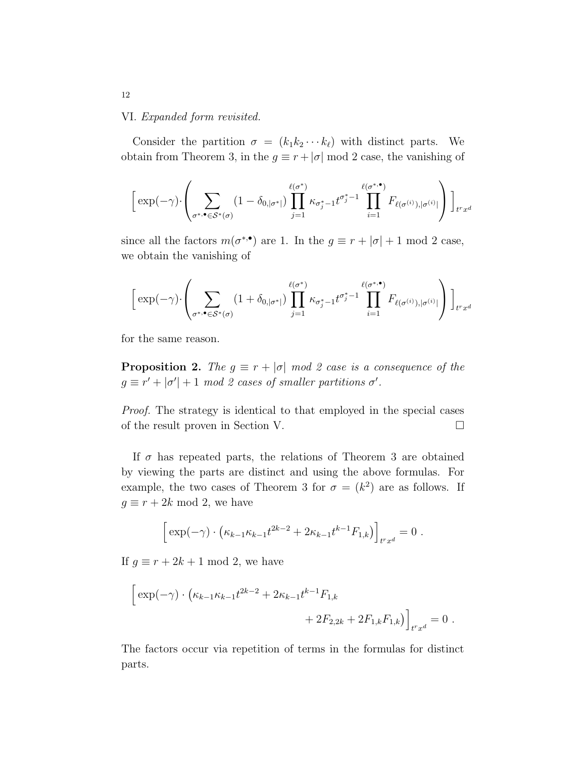## VI. Expanded form revisited.

Consider the partition  $\sigma = (k_1 k_2 \cdots k_\ell)$  with distinct parts. We obtain from Theorem 3, in the  $g \equiv r + |\sigma| \mod 2$  case, the vanishing of

$$
\left[\exp(-\gamma) \cdot \left(\sum_{\sigma^{\ast,\bullet} \in \mathcal{S}^{\ast}(\sigma)} (1-\delta_{0,|\sigma^{\ast}|}) \prod_{j=1}^{\ell(\sigma^{\ast})} \kappa_{\sigma^{\ast}_{j}-1} t^{\sigma^{\ast}_{j}-1} \prod_{i=1}^{\ell(\sigma^{\ast,\bullet})} F_{\ell(\sigma^{(i)}),|\sigma^{(i)}|}\right) \right]_{t^{r}x^{d}}
$$

since all the factors  $m(\sigma^{*,\bullet})$  are 1. In the  $g \equiv r + |\sigma| + 1 \mod 2$  case, we obtain the vanishing of

$$
\left[\exp(-\gamma)\cdot\left(\sum_{\sigma^*\cdot\bullet\in\mathcal{S}^*(\sigma)}(1+\delta_{0,|\sigma^*|})\prod_{j=1}^{\ell(\sigma^*)}\kappa_{\sigma^*_j-1}t^{\sigma^*_j-1}\prod_{i=1}^{\ell(\sigma^{*\,\bullet})}F_{\ell(\sigma^{(i)}),|\sigma^{(i)}|}\right)\right]_{t^r x^d}
$$

for the same reason.

**Proposition 2.** The  $g \equiv r + |\sigma| \mod 2$  case is a consequence of the  $g \equiv r' + |\sigma'| + 1 \mod 2$  cases of smaller partitions  $\sigma'$ .

Proof. The strategy is identical to that employed in the special cases of the result proven in Section V.

If  $\sigma$  has repeated parts, the relations of Theorem 3 are obtained by viewing the parts are distinct and using the above formulas. For example, the two cases of Theorem 3 for  $\sigma = (k^2)$  are as follows. If  $g \equiv r + 2k \mod 2$ , we have

$$
\[ \exp(-\gamma) \cdot (\kappa_{k-1} \kappa_{k-1} t^{2k-2} + 2 \kappa_{k-1} t^{k-1} F_{1,k}) \]_{t^r x^d} = 0 \; .
$$

If  $g \equiv r + 2k + 1 \mod 2$ , we have

$$
\[ \exp(-\gamma) \cdot \left( \kappa_{k-1} \kappa_{k-1} t^{2k-2} + 2 \kappa_{k-1} t^{k-1} F_{1,k} + 2 F_{2,2k} + 2 F_{1,k} F_{1,k} \right) \]_{t^r x^d} = 0 \; .
$$

The factors occur via repetition of terms in the formulas for distinct parts.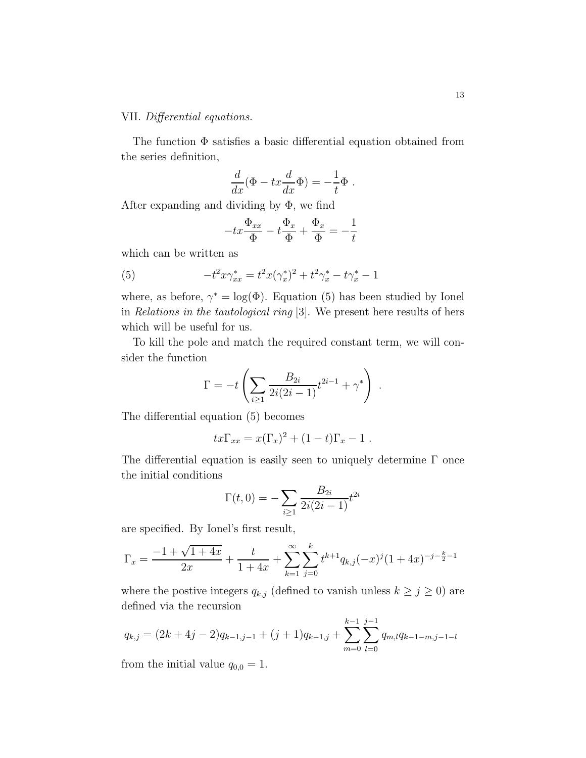# VII. Differential equations.

The function  $\Phi$  satisfies a basic differential equation obtained from the series definition,

$$
\frac{d}{dx}(\Phi - tx\frac{d}{dx}\Phi) = -\frac{1}{t}\Phi.
$$

After expanding and dividing by  $\Phi$ , we find

$$
-tx\frac{\Phi_{xx}}{\Phi} - t\frac{\Phi_x}{\Phi} + \frac{\Phi_x}{\Phi} = -\frac{1}{t}
$$

which can be written as

(5) 
$$
-t^2 x \gamma_{xx}^* = t^2 x (\gamma_x^*)^2 + t^2 \gamma_x^* - t \gamma_x^* - 1
$$

where, as before,  $\gamma^* = \log(\Phi)$ . Equation (5) has been studied by Ionel in Relations in the tautological ring [3]. We present here results of hers which will be useful for us.

To kill the pole and match the required constant term, we will consider the function

$$
\Gamma = -t \left( \sum_{i \ge 1} \frac{B_{2i}}{2i(2i-1)} t^{2i-1} + \gamma^* \right) .
$$

The differential equation (5) becomes

$$
tx\Gamma_{xx} = x(\Gamma_x)^2 + (1-t)\Gamma_x - 1.
$$

The differential equation is easily seen to uniquely determine  $\Gamma$  once the initial conditions

$$
\Gamma(t,0) = -\sum_{i\geq 1} \frac{B_{2i}}{2i(2i-1)} t^{2i}
$$

are specified. By Ionel's first result,

$$
\Gamma_x = \frac{-1 + \sqrt{1 + 4x}}{2x} + \frac{t}{1 + 4x} + \sum_{k=1}^{\infty} \sum_{j=0}^{k} t^{k+1} q_{k,j}(-x)^j (1 + 4x)^{-j - \frac{k}{2} - 1}
$$

where the postive integers  $q_{k,j}$  (defined to vanish unless  $k \ge j \ge 0$ ) are defined via the recursion

$$
q_{k,j} = (2k+4j-2)q_{k-1,j-1} + (j+1)q_{k-1,j} + \sum_{m=0}^{k-1} \sum_{l=0}^{j-1} q_{m,l} q_{k-1-m,j-1-l}
$$

from the initial value  $q_{0,0} = 1$ .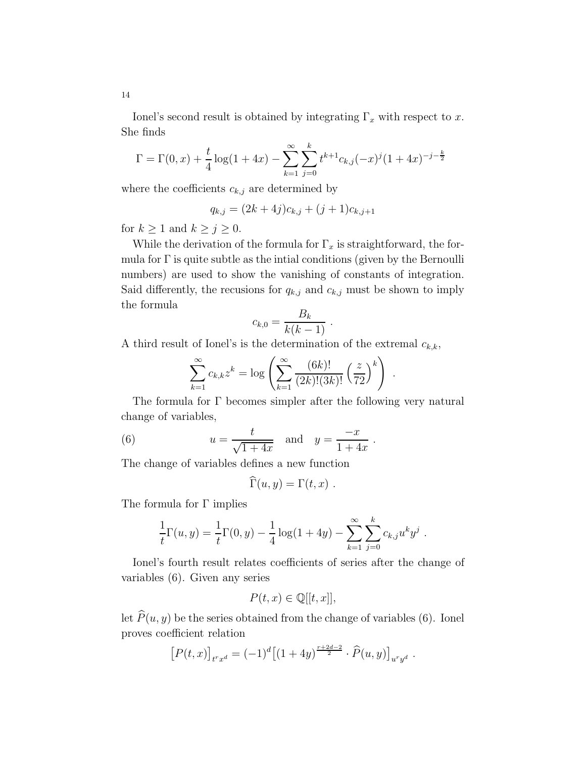Ionel's second result is obtained by integrating  $\Gamma_x$  with respect to x. She finds

$$
\Gamma = \Gamma(0, x) + \frac{t}{4} \log(1 + 4x) - \sum_{k=1}^{\infty} \sum_{j=0}^{k} t^{k+1} c_{k,j} (-x)^j (1 + 4x)^{-j - \frac{k}{2}}
$$

where the coefficients  $c_{k,j}$  are determined by

$$
q_{k,j} = (2k+4j)c_{k,j} + (j+1)c_{k,j+1}
$$

for  $k \geq 1$  and  $k \geq j \geq 0$ .

While the derivation of the formula for  $\Gamma_x$  is straightforward, the formula for  $\Gamma$  is quite subtle as the intial conditions (given by the Bernoulli numbers) are used to show the vanishing of constants of integration. Said differently, the recusions for  $q_{k,j}$  and  $c_{k,j}$  must be shown to imply the formula

$$
c_{k,0} = \frac{B_k}{k(k-1)}.
$$

A third result of Ionel's is the determination of the extremal  $c_{k,k}$ ,

$$
\sum_{k=1}^{\infty} c_{k,k} z^k = \log \left( \sum_{k=1}^{\infty} \frac{(6k)!}{(2k)!(3k)!} \left( \frac{z}{72} \right)^k \right)
$$

.

The formula for Γ becomes simpler after the following very natural change of variables,

(6) 
$$
u = \frac{t}{\sqrt{1+4x}}
$$
 and  $y = \frac{-x}{1+4x}$ .

The change of variables defines a new function

$$
\Gamma(u, y) = \Gamma(t, x) .
$$

The formula for  $\Gamma$  implies

$$
\frac{1}{t}\Gamma(u,y) = \frac{1}{t}\Gamma(0,y) - \frac{1}{4}\log(1+4y) - \sum_{k=1}^{\infty}\sum_{j=0}^{k}c_{k,j}u^{k}y^{j}.
$$

Ionel's fourth result relates coefficients of series after the change of variables (6). Given any series

$$
P(t,x) \in \mathbb{Q}[[t,x]],
$$

let  $\widehat{P}(u, y)$  be the series obtained from the change of variables (6). Ionel proves coefficient relation

$$
[P(t,x)]_{t^r x^d} = (-1)^d [(1+4y)^{\frac{r+2d-2}{2}} \cdot \widehat{P}(u,y)]_{u^r y^d}.
$$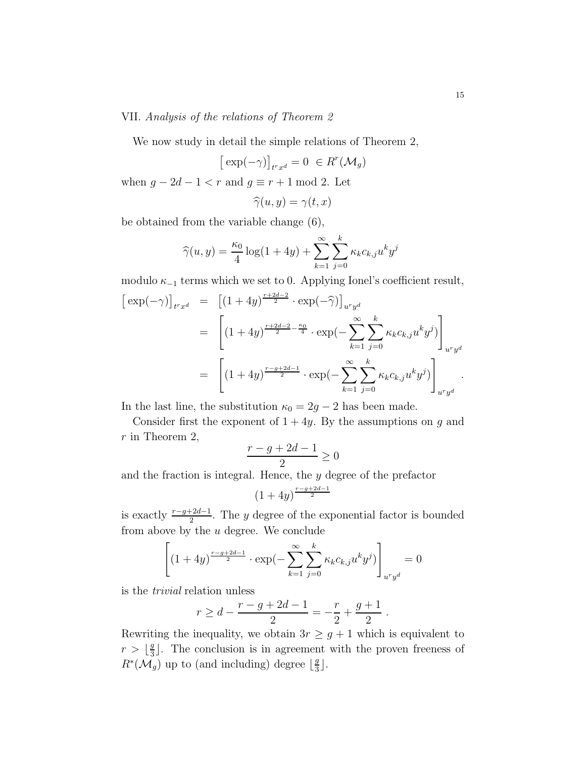## VII. Analysis of the relations of Theorem 2

We now study in detail the simple relations of Theorem 2,

$$
\big[\exp(-\gamma)\big]_{trxd} = 0 \ \in R^r(\mathcal{M}_g)
$$

when  $g - 2d - 1 < r$  and  $g \equiv r + 1 \mod 2$ . Let

$$
\widehat{\gamma}(u,y)=\gamma(t,x)
$$

be obtained from the variable change (6),

 $\overline{\phantom{a}}$ 

$$
\widehat{\gamma}(u, y) = \frac{\kappa_0}{4} \log(1 + 4y) + \sum_{k=1}^{\infty} \sum_{j=0}^{k} \kappa_k c_{k,j} u^k y^j
$$

modulo  $\kappa_{-1}$  terms which we set to 0. Applying Ionel's coefficient result,

$$
\begin{aligned}\n\left[\exp(-\gamma)\right]_{t^r x^d} &= \left[ (1+4y)^{\frac{r+2d-2}{2}} \cdot \exp(-\widehat{\gamma}) \right]_{u^r y^d} \\
&= \left[ (1+4y)^{\frac{r+2d-2}{2} - \frac{\kappa_0}{4}} \cdot \exp(-\sum_{k=1}^{\infty} \sum_{j=0}^k \kappa_k c_{k,j} u^k y^j) \right]_{u^r y^d} \\
&= \left[ (1+4y)^{\frac{r-g+2d-1}{2}} \cdot \exp(-\sum_{k=1}^{\infty} \sum_{j=0}^k \kappa_k c_{k,j} u^k y^j) \right]_{u^r y^d}.\n\end{aligned}
$$

In the last line, the substitution  $\kappa_0 = 2g - 2$  has been made.

Consider first the exponent of  $1 + 4y$ . By the assumptions on g and  $r$  in Theorem 2,

$$
\frac{r-g+2d-1}{2} \ge 0
$$

and the fraction is integral. Hence, the y degree of the prefactor

$$
(1+4y)^{\frac{r-g+2d-1}{2}}
$$

is exactly  $\frac{r-g+2d-1}{2}$ . The y degree of the exponential factor is bounded from above by the  $u$  degree. We conclude

$$
\left[ (1+4y)^{\frac{r-g+2d-1}{2}} \cdot \exp(-\sum_{k=1}^{\infty} \sum_{j=0}^{k} \kappa_k c_{k,j} u^k y^j) \right]_{u^r y^d} = 0
$$

is the trivial relation unless

$$
r \ge d - \frac{r - g + 2d - 1}{2} = -\frac{r}{2} + \frac{g + 1}{2} .
$$

Rewriting the inequality, we obtain  $3r \geq g+1$  which is equivalent to  $r > \left\lfloor \frac{g}{3} \right\rfloor$  $\frac{g}{3}$ . The conclusion is in agreement with the proven freeness of  $R^*(\mathcal{M}_g)$  up to (and including) degree  $\lfloor \frac{g}{3} \rfloor$  $\frac{g}{3}$ .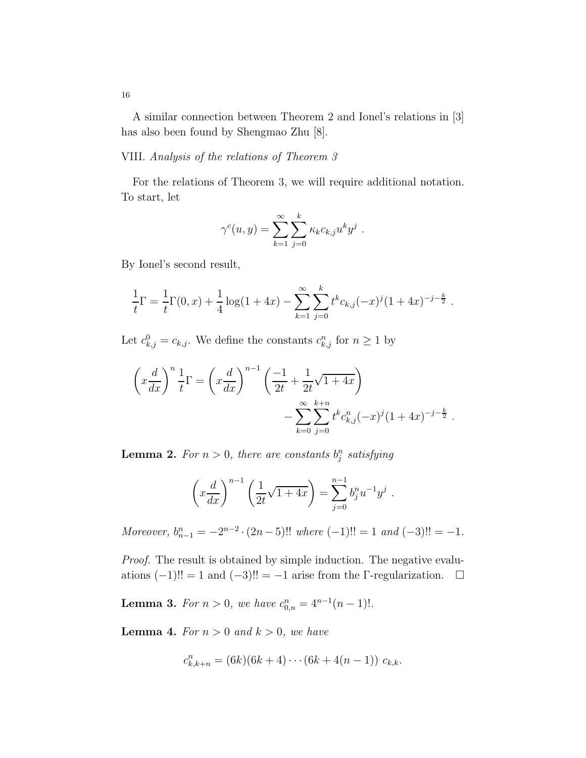A similar connection between Theorem 2 and Ionel's relations in [3] has also been found by Shengmao Zhu [8].

# VIII. Analysis of the relations of Theorem 3

For the relations of Theorem 3, we will require additional notation. To start, let

$$
\gamma^{c}(u, y) = \sum_{k=1}^{\infty} \sum_{j=0}^{k} \kappa_{k} c_{k,j} u^{k} y^{j} .
$$

By Ionel's second result,

$$
\frac{1}{t}\Gamma = \frac{1}{t}\Gamma(0,x) + \frac{1}{4}\log(1+4x) - \sum_{k=1}^{\infty}\sum_{j=0}^{k} t^{k}c_{k,j}(-x)^{j}(1+4x)^{-j-\frac{k}{2}}.
$$

Let  $c_{k,j}^0 = c_{k,j}$ . We define the constants  $c_{k,j}^n$  for  $n \geq 1$  by

$$
\left(x\frac{d}{dx}\right)^n \frac{1}{t} \Gamma = \left(x\frac{d}{dx}\right)^{n-1} \left(\frac{-1}{2t} + \frac{1}{2t}\sqrt{1+4x}\right) - \sum_{k=0}^{\infty} \sum_{j=0}^{k+n} t^k c_{k,j}^n (-x)^j (1+4x)^{-j-\frac{k}{2}}.
$$

**Lemma 2.** For  $n > 0$ , there are constants  $b_j^n$  satisfying

$$
\left(x\frac{d}{dx}\right)^{n-1}\left(\frac{1}{2t}\sqrt{1+4x}\right) = \sum_{j=0}^{n-1}b_j^n u^{-1}y^j.
$$

Moreover,  $b_{n-1}^n = -2^{n-2} \cdot (2n-5)!!$  where  $(-1)!! = 1$  and  $(-3)!! = -1$ .

Proof. The result is obtained by simple induction. The negative evaluations  $(-1)!! = 1$  and  $(-3)!! = -1$  arise from the Γ-regularization.  $□$ 

**Lemma 3.** For  $n > 0$ , we have  $c_{0,n}^n = 4^{n-1}(n-1)!$ .

**Lemma 4.** For  $n > 0$  and  $k > 0$ , we have

$$
c_{k,k+n}^n = (6k)(6k+4)\cdots(6k+4(n-1)) c_{k,k}.
$$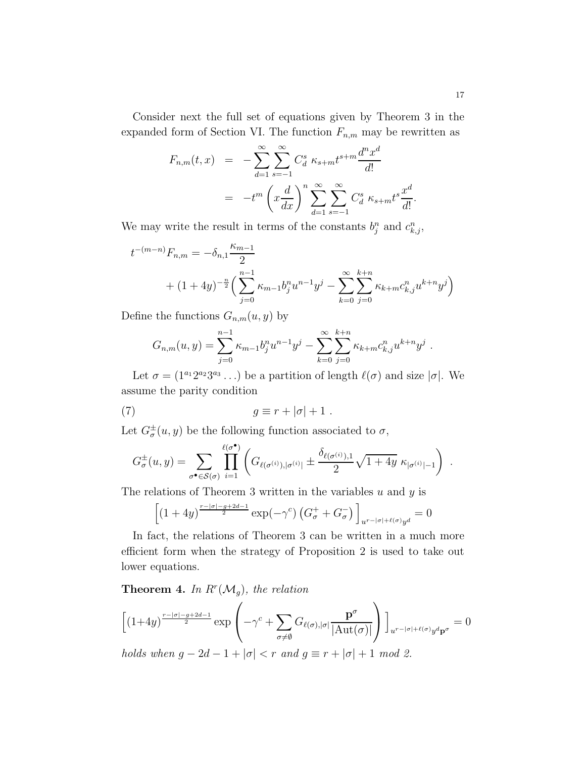Consider next the full set of equations given by Theorem 3 in the expanded form of Section VI. The function  $F_{n,m}$  may be rewritten as

$$
F_{n,m}(t,x) = -\sum_{d=1}^{\infty} \sum_{s=-1}^{\infty} C_d^s \ \kappa_{s+m} t^{s+m} \frac{d^n x^d}{d!}
$$
  
= 
$$
-t^m \left( x \frac{d}{dx} \right)^n \sum_{d=1}^{\infty} \sum_{s=-1}^{\infty} C_d^s \ \kappa_{s+m} t^s \frac{x^d}{d!}
$$

We may write the result in terms of the constants  $b_j^n$  and  $c_{k,j}^n$ ,

$$
t^{-(m-n)}F_{n,m} = -\delta_{n,1}\frac{\kappa_{m-1}}{2}
$$
  
+  $(1+4y)^{-\frac{n}{2}} \Big( \sum_{j=0}^{n-1} \kappa_{m-1} b_j^n u^{n-1} y^j - \sum_{k=0}^{\infty} \sum_{j=0}^{k+n} \kappa_{k+m} c_{k,j}^n u^{k+n} y^j \Big)$ 

Define the functions  $G_{n,m}(u, y)$  by

$$
G_{n,m}(u,y) = \sum_{j=0}^{n-1} \kappa_{m-1} b_j^n u^{n-1} y^j - \sum_{k=0}^{\infty} \sum_{j=0}^{k+n} \kappa_{k+m} c_{k,j}^n u^{k+n} y^j.
$$

Let  $\sigma = (1^{a_1}2^{a_2}3^{a_3} \dots)$  be a partition of length  $\ell(\sigma)$  and size  $|\sigma|$ . We assume the parity condition

(7) 
$$
g \equiv r + |\sigma| + 1.
$$

Let  $G_{\sigma}^{\pm}(u, y)$  be the following function associated to  $\sigma$ ,

$$
G_{\sigma}^{\pm}(u,y) = \sum_{\sigma^{\bullet} \in \mathcal{S}(\sigma)} \prod_{i=1}^{\ell(\sigma^{\bullet})} \left( G_{\ell(\sigma^{(i)}),|\sigma^{(i)}|} \pm \frac{\delta_{\ell(\sigma^{(i)}),1}}{2} \sqrt{1+4y} \; \kappa_{|\sigma^{(i)}|-1} \right) \; .
$$

The relations of Theorem 3 written in the variables  $u$  and  $y$  is

$$
\left[\left(1+4y\right)^{\frac{r-|\sigma|-g+2d-1}{2}}\exp(-\gamma^c)\left(G^+_\sigma+G^-_\sigma\right)\right]_{u^{r-|\sigma|+\ell(\sigma)}y^d}=0
$$

In fact, the relations of Theorem 3 can be written in a much more efficient form when the strategy of Proposition 2 is used to take out lower equations.

**Theorem 4.** In  $R^r(\mathcal{M}_g)$ , the relation

$$
\left[ (1+4y)^{\frac{r-|\sigma|-g+2d-1}{2}} \exp\left( -\gamma^c + \sum_{\sigma \neq \emptyset} G_{\ell(\sigma),|\sigma|} \frac{\mathbf{p}^{\sigma}}{|\mathrm{Aut}(\sigma)|} \right) \right]_{u^{r-|\sigma|+\ell(\sigma)} y^d \mathbf{p}^{\sigma}} = 0
$$

holds when  $g - 2d - 1 + |\sigma| < r$  and  $g \equiv r + |\sigma| + 1$  mod 2.

.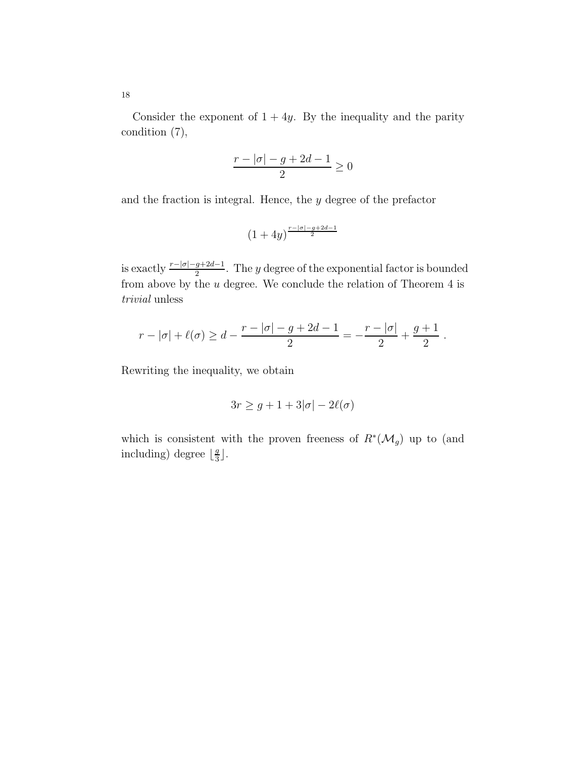Consider the exponent of  $1 + 4y$ . By the inequality and the parity condition (7),

$$
\frac{r - |\sigma| - g + 2d - 1}{2} \ge 0
$$

and the fraction is integral. Hence, the y degree of the prefactor

$$
(1+4y)^{\frac{r-|\sigma|-g+2d-1}{2}}
$$

is exactly  $\frac{r-|\sigma|-g+2d-1}{2}$ . The y degree of the exponential factor is bounded from above by the  $u$  degree. We conclude the relation of Theorem 4 is trivial unless

$$
r - |\sigma| + \ell(\sigma) \ge d - \frac{r - |\sigma| - g + 2d - 1}{2} = -\frac{r - |\sigma|}{2} + \frac{g + 1}{2}.
$$

Rewriting the inequality, we obtain

$$
3r \ge g + 1 + 3|\sigma| - 2\ell(\sigma)
$$

which is consistent with the proven freeness of  $R^*(\mathcal{M}_g)$  up to (and including) degree  $\lfloor \frac{g}{3} \rfloor$  $\frac{g}{3}$ .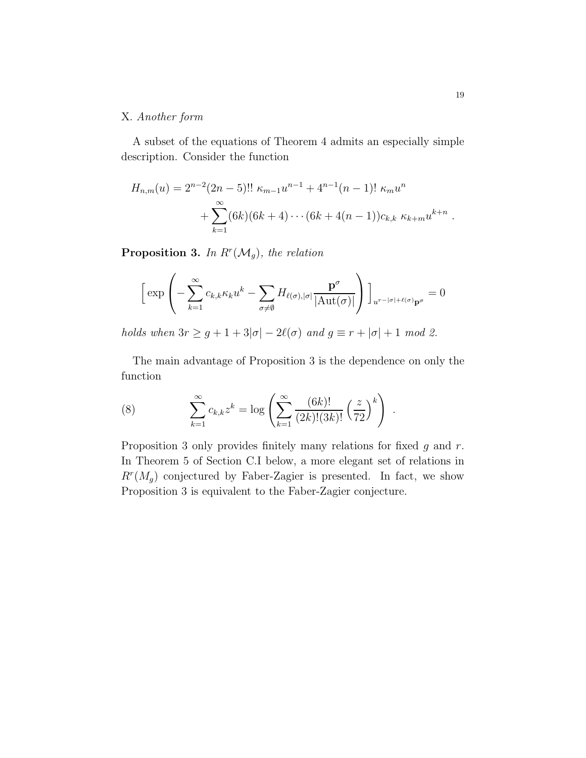# X. Another form

A subset of the equations of Theorem 4 admits an especially simple description. Consider the function

$$
H_{n,m}(u) = 2^{n-2}(2n-5)!! \kappa_{m-1}u^{n-1} + 4^{n-1}(n-1)!\kappa_m u^n
$$
  
+ 
$$
\sum_{k=1}^{\infty} (6k)(6k+4)\cdots(6k+4(n-1))c_{k,k} \kappa_{k+m}u^{k+n}
$$

**Proposition 3.** In  $R^r(\mathcal{M}_g)$ , the relation

$$
\left[\exp\left(-\sum_{k=1}^{\infty}c_{k,k}\kappa_{k}u^{k}-\sum_{\sigma\neq\emptyset}H_{\ell(\sigma),|\sigma|}\frac{\mathbf{p}^{\sigma}}{|\mathrm{Aut}(\sigma)|}\right)\right]_{u^{r-|\sigma|+\ell(\sigma)}\mathbf{p}^{\sigma}}=0
$$

holds when  $3r \geq g+1+3|\sigma|-2\ell(\sigma)$  and  $g \equiv r+|\sigma|+1 \mod 2$ .

The main advantage of Proposition 3 is the dependence on only the function

(8) 
$$
\sum_{k=1}^{\infty} c_{k,k} z^k = \log \left( \sum_{k=1}^{\infty} \frac{(6k)!}{(2k)!(3k)!} \left( \frac{z}{72} \right)^k \right).
$$

Proposition 3 only provides finitely many relations for fixed  $g$  and  $r$ . In Theorem 5 of Section C.I below, a more elegant set of relations in  $R^{r}(M_g)$  conjectured by Faber-Zagier is presented. In fact, we show Proposition 3 is equivalent to the Faber-Zagier conjecture.

.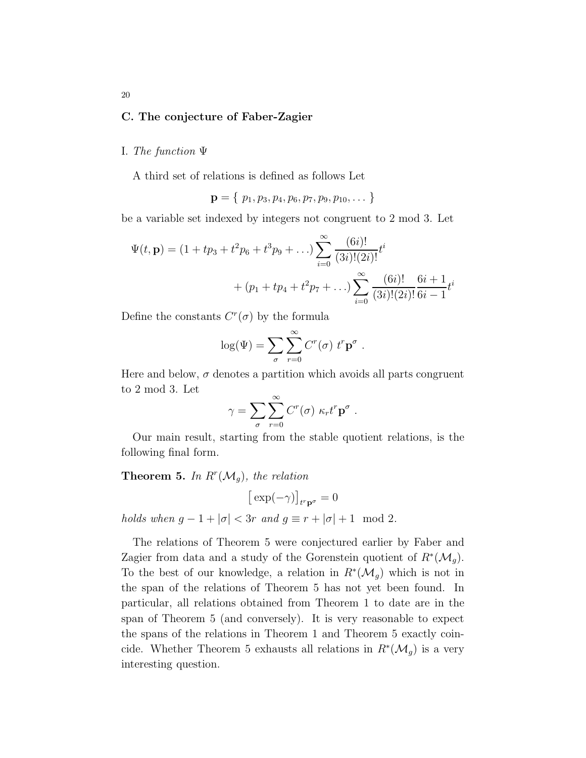# C. The conjecture of Faber-Zagier

#### I. The function Ψ

A third set of relations is defined as follows Let

$$
\mathbf{p} = \{ p_1, p_3, p_4, p_6, p_7, p_9, p_{10}, \dots \}
$$

be a variable set indexed by integers not congruent to 2 mod 3. Let

$$
\Psi(t, \mathbf{p}) = (1 + tp_3 + t^2 p_6 + t^3 p_9 + ...) \sum_{i=0}^{\infty} \frac{(6i)!}{(3i)!(2i)!} t^i
$$
  
+  $(p_1 + tp_4 + t^2 p_7 + ...) \sum_{i=0}^{\infty} \frac{(6i)!}{(3i)!(2i)!} \frac{6i+1}{6i-1} t^i$ 

Define the constants  $C<sup>r</sup>(\sigma)$  by the formula

$$
\log(\Psi) = \sum_{\sigma} \sum_{r=0}^{\infty} C^r(\sigma) \ t^r \mathbf{p}^{\sigma} .
$$

Here and below,  $\sigma$  denotes a partition which avoids all parts congruent to 2 mod 3. Let

$$
\gamma = \sum_{\sigma} \sum_{r=0}^{\infty} C^r(\sigma) \kappa_r t^r \mathbf{p}^{\sigma} .
$$

Our main result, starting from the stable quotient relations, is the following final form.

# **Theorem 5.** In  $R^r(\mathcal{M}_g)$ , the relation

$$
\big[\exp(-\gamma)\big]_{t^r\mathbf{p}^\sigma}=0
$$

holds when  $g - 1 + |\sigma| < 3r$  and  $g \equiv r + |\sigma| + 1 \mod 2$ .

The relations of Theorem 5 were conjectured earlier by Faber and Zagier from data and a study of the Gorenstein quotient of  $R^*(\mathcal{M}_g)$ . To the best of our knowledge, a relation in  $R^*(\mathcal{M}_g)$  which is not in the span of the relations of Theorem 5 has not yet been found. In particular, all relations obtained from Theorem 1 to date are in the span of Theorem 5 (and conversely). It is very reasonable to expect the spans of the relations in Theorem 1 and Theorem 5 exactly coincide. Whether Theorem 5 exhausts all relations in  $R^*(\mathcal{M}_g)$  is a very interesting question.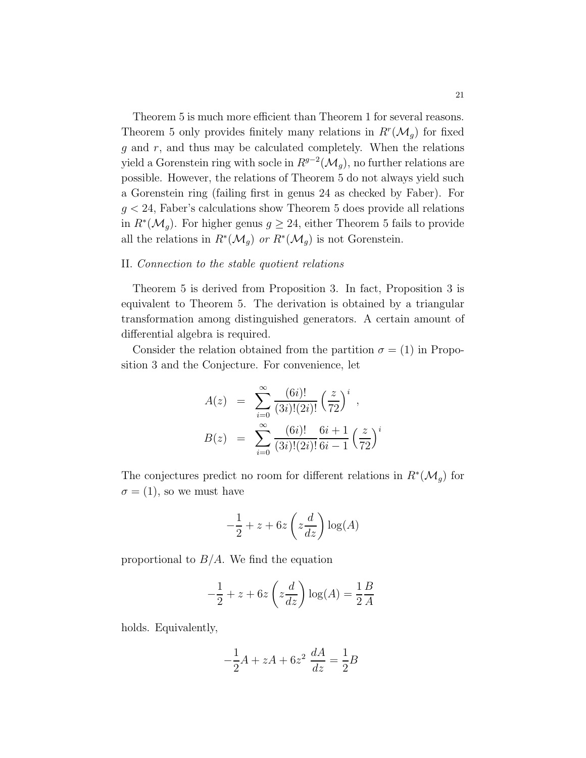Theorem 5 is much more efficient than Theorem 1 for several reasons. Theorem 5 only provides finitely many relations in  $R^r(\mathcal{M}_g)$  for fixed  $g$  and  $r$ , and thus may be calculated completely. When the relations yield a Gorenstein ring with socle in  $R^{g-2}(\mathcal{M}_g)$ , no further relations are possible. However, the relations of Theorem 5 do not always yield such a Gorenstein ring (failing first in genus 24 as checked by Faber). For  $g < 24$ , Faber's calculations show Theorem 5 does provide all relations in  $R^*(\mathcal{M}_g)$ . For higher genus  $g \geq 24$ , either Theorem 5 fails to provide all the relations in  $R^*(\mathcal{M}_g)$  or  $R^*(\mathcal{M}_g)$  is not Gorenstein.

## II. Connection to the stable quotient relations

Theorem 5 is derived from Proposition 3. In fact, Proposition 3 is equivalent to Theorem 5. The derivation is obtained by a triangular transformation among distinguished generators. A certain amount of differential algebra is required.

Consider the relation obtained from the partition  $\sigma = (1)$  in Proposition 3 and the Conjecture. For convenience, let

$$
A(z) = \sum_{i=0}^{\infty} \frac{(6i)!}{(3i)!(2i)!} \left(\frac{z}{72}\right)^i,
$$
  
\n
$$
B(z) = \sum_{i=0}^{\infty} \frac{(6i)!}{(3i)!(2i)!} \frac{6i+1}{6i-1} \left(\frac{z}{72}\right)^i
$$

The conjectures predict no room for different relations in  $R^*(\mathcal{M}_g)$  for  $\sigma = (1)$ , so we must have

$$
-\frac{1}{2} + z + 6z \left(z \frac{d}{dz}\right) \log(A)
$$

proportional to  $B/A$ . We find the equation

$$
-\frac{1}{2} + z + 6z \left(z \frac{d}{dz}\right) \log(A) = \frac{1}{2} \frac{B}{A}
$$

holds. Equivalently,

$$
-\frac{1}{2}A + zA + 6z^2 \frac{dA}{dz} = \frac{1}{2}B
$$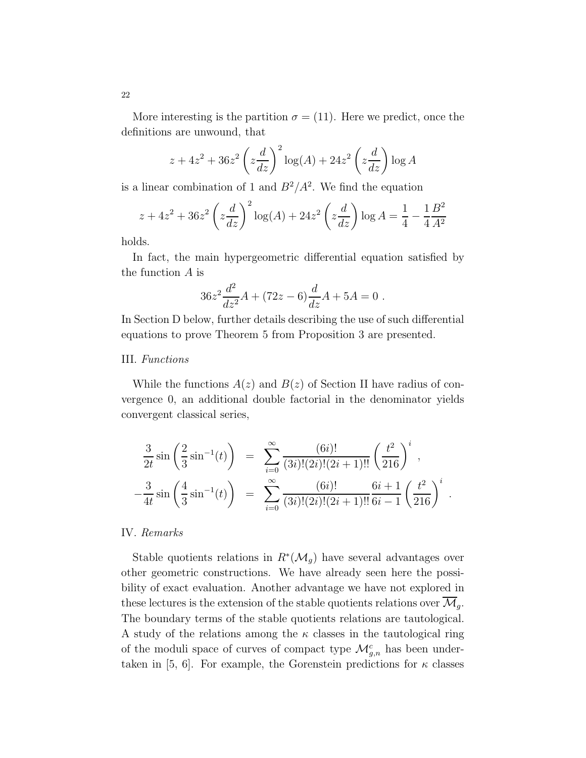More interesting is the partition  $\sigma = (11)$ . Here we predict, once the definitions are unwound, that

$$
z + 4z2 + 36z2 \left(z\frac{d}{dz}\right)^{2} \log(A) + 24z2 \left(z\frac{d}{dz}\right) \log A
$$

is a linear combination of 1 and  $B^2/A^2$ . We find the equation

$$
z + 4z2 + 36z2 \left(z\frac{d}{dz}\right)^{2} \log(A) + 24z2 \left(z\frac{d}{dz}\right) \log A = \frac{1}{4} - \frac{1}{4}\frac{B^{2}}{A^{2}}
$$

holds.

In fact, the main hypergeometric differential equation satisfied by the function  $A$  is

$$
36z^2 \frac{d^2}{dz^2}A + (72z - 6)\frac{d}{dz}A + 5A = 0.
$$

In Section D below, further details describing the use of such differential equations to prove Theorem 5 from Proposition 3 are presented.

# III. Functions

While the functions  $A(z)$  and  $B(z)$  of Section II have radius of convergence 0, an additional double factorial in the denominator yields convergent classical series,

$$
\frac{3}{2t}\sin\left(\frac{2}{3}\sin^{-1}(t)\right) = \sum_{i=0}^{\infty} \frac{(6i)!}{(3i)!(2i)!(2i+1)!!} \left(\frac{t^2}{216}\right)^i,
$$
  

$$
-\frac{3}{4t}\sin\left(\frac{4}{3}\sin^{-1}(t)\right) = \sum_{i=0}^{\infty} \frac{(6i)!}{(3i)!(2i)!(2i+1)!!} \frac{6i+1}{6i-1} \left(\frac{t^2}{216}\right)^i
$$

.

## IV. Remarks

Stable quotients relations in  $R^*(\mathcal{M}_g)$  have several advantages over other geometric constructions. We have already seen here the possibility of exact evaluation. Another advantage we have not explored in these lectures is the extension of the stable quotients relations over  $\mathcal{M}_g$ . The boundary terms of the stable quotients relations are tautological. A study of the relations among the  $\kappa$  classes in the tautological ring of the moduli space of curves of compact type  $\mathcal{M}_{g,n}^c$  has been undertaken in [5, 6]. For example, the Gorenstein predictions for  $\kappa$  classes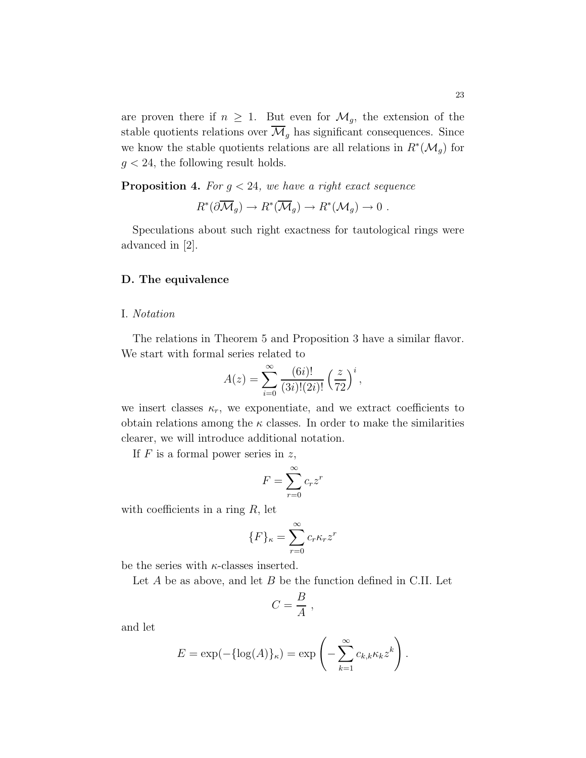are proven there if  $n \geq 1$ . But even for  $\mathcal{M}_g$ , the extension of the stable quotients relations over  $\overline{\mathcal{M}}_g$  has significant consequences. Since we know the stable quotients relations are all relations in  $R^*(\mathcal{M}_g)$  for  $g < 24$ , the following result holds.

**Proposition 4.** For  $q < 24$ , we have a right exact sequence

$$
R^*(\partial \overline{\mathcal{M}}_g) \to R^*(\overline{\mathcal{M}}_g) \to R^*(\mathcal{M}_g) \to 0.
$$

Speculations about such right exactness for tautological rings were advanced in [2].

# D. The equivalence

## I. Notation

The relations in Theorem 5 and Proposition 3 have a similar flavor. We start with formal series related to

$$
A(z) = \sum_{i=0}^{\infty} \frac{(6i)!}{(3i)!(2i)!} \left(\frac{z}{72}\right)^i,
$$

we insert classes  $\kappa_r$ , we exponentiate, and we extract coefficients to obtain relations among the  $\kappa$  classes. In order to make the similarities clearer, we will introduce additional notation.

If  $F$  is a formal power series in  $z$ ,

$$
F = \sum_{r=0}^{\infty} c_r z^r
$$

with coefficients in a ring  $R$ , let

$$
\{F\}_{\kappa} = \sum_{r=0}^{\infty} c_r \kappa_r z^r
$$

be the series with  $\kappa$ -classes inserted.

Let  $A$  be as above, and let  $B$  be the function defined in C.II. Let

$$
C=\frac{B}{A},
$$

and let

$$
E = \exp(-\{\log(A)\}_{\kappa}) = \exp\left(-\sum_{k=1}^{\infty} c_{k,k} \kappa_k z^k\right).
$$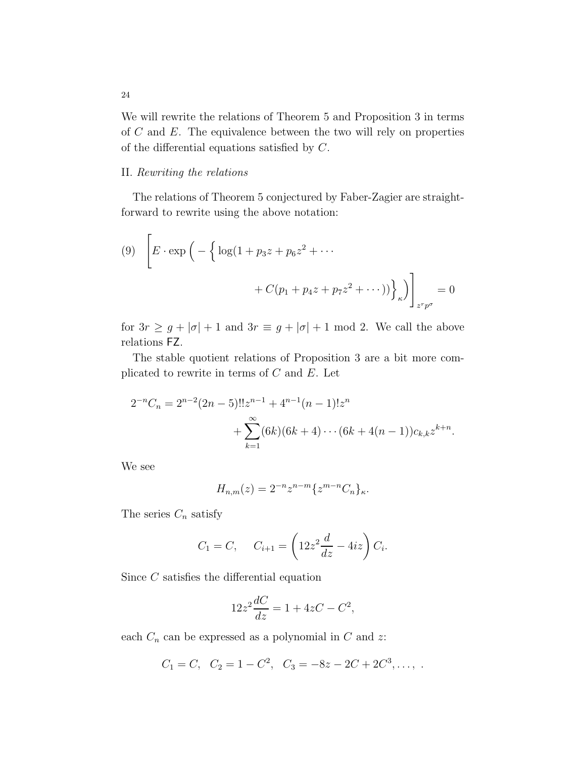We will rewrite the relations of Theorem 5 and Proposition 3 in terms of  $C$  and  $E$ . The equivalence between the two will rely on properties of the differential equations satisfied by C.

## II. Rewriting the relations

The relations of Theorem 5 conjectured by Faber-Zagier are straightforward to rewrite using the above notation:

(9) 
$$
\left[ E \cdot \exp \left( - \left\{ \log(1 + p_3 z + p_6 z^2 + \cdots + C(p_1 + p_4 z + p_7 z^2 + \cdots) ) \right\}_\kappa \right) \right]_{z^r p^\sigma} = 0
$$

for  $3r \geq g + |\sigma| + 1$  and  $3r \equiv g + |\sigma| + 1$  mod 2. We call the above relations FZ.

The stable quotient relations of Proposition 3 are a bit more complicated to rewrite in terms of  $C$  and  $E$ . Let

$$
2^{-n}C_n = 2^{n-2}(2n-5)!!z^{n-1} + 4^{n-1}(n-1)!z^n
$$
  
+ 
$$
\sum_{k=1}^{\infty} (6k)(6k+4)\cdots (6k+4(n-1))c_{k,k}z^{k+n}.
$$

We see

$$
H_{n,m}(z)=2^{-n}z^{n-m}\{z^{m-n}C_n\}_\kappa.
$$

The series  $C_n$  satisfy

$$
C_1 = C
$$
,  $C_{i+1} = \left(12z^2 \frac{d}{dz} - 4iz\right) C_i$ .

Since C satisfies the differential equation

$$
12z^2 \frac{dC}{dz} = 1 + 4zC - C^2,
$$

each  $C_n$  can be expressed as a polynomial in  $C$  and  $z$ :

$$
C_1 = C
$$
,  $C_2 = 1 - C^2$ ,  $C_3 = -8z - 2C + 2C^3$ , ...,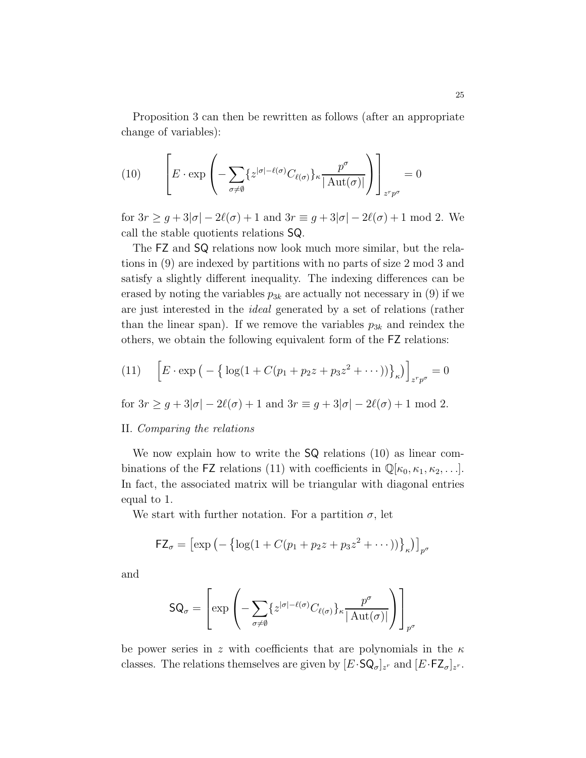Proposition 3 can then be rewritten as follows (after an appropriate change of variables):

(10) 
$$
\left[E \cdot \exp\left(-\sum_{\sigma \neq \emptyset} \{z^{|\sigma|-\ell(\sigma)} C_{\ell(\sigma)}\}_{\kappa} \frac{p^{\sigma}}{|\operatorname{Aut}(\sigma)|}\right)\right]_{z^r p^{\sigma}} = 0
$$

for  $3r \geq g + 3|\sigma| - 2\ell(\sigma) + 1$  and  $3r \equiv g + 3|\sigma| - 2\ell(\sigma) + 1$  mod 2. We call the stable quotients relations SQ.

The FZ and SQ relations now look much more similar, but the relations in (9) are indexed by partitions with no parts of size 2 mod 3 and satisfy a slightly different inequality. The indexing differences can be erased by noting the variables  $p_{3k}$  are actually not necessary in (9) if we are just interested in the ideal generated by a set of relations (rather than the linear span). If we remove the variables  $p_{3k}$  and reindex the others, we obtain the following equivalent form of the FZ relations:

(11) 
$$
\[E \cdot \exp\left(-\left\{\log(1 + C(p_1 + p_2 z + p_3 z^2 + \cdots))\right\}_\kappa\right)\]_{z^r p^\sigma} = 0
$$

for  $3r \ge g + 3|\sigma| - 2\ell(\sigma) + 1$  and  $3r \equiv g + 3|\sigma| - 2\ell(\sigma) + 1$  mod 2.

# II. Comparing the relations

We now explain how to write the SQ relations (10) as linear combinations of the FZ relations (11) with coefficients in  $\mathbb{Q}[\kappa_0, \kappa_1, \kappa_2, \ldots]$ . In fact, the associated matrix will be triangular with diagonal entries equal to 1.

We start with further notation. For a partition  $\sigma$ , let

$$
\mathsf{FZ}_{\sigma} = [\exp(-\{\log(1 + C(p_1 + p_2 z + p_3 z^2 + \cdots))\}_{\kappa})]_{p^{\sigma}}
$$

and

$$
\mathsf{SQ}_{\sigma} = \left[ \exp \left( - \sum_{\sigma \neq \emptyset} \{ z^{|\sigma| - \ell(\sigma)} C_{\ell(\sigma)} \}_{\kappa} \frac{p^{\sigma}}{|\operatorname{Aut}(\sigma)|} \right) \right]_{p^{\sigma}}
$$

be power series in z with coefficients that are polynomials in the  $\kappa$ classes. The relations themselves are given by  $[E\cdot \mathsf{SQ}_{\sigma}]_{z^r}$  and  $[E\cdot \mathsf{FZ}_{\sigma}]_{z^r}$ .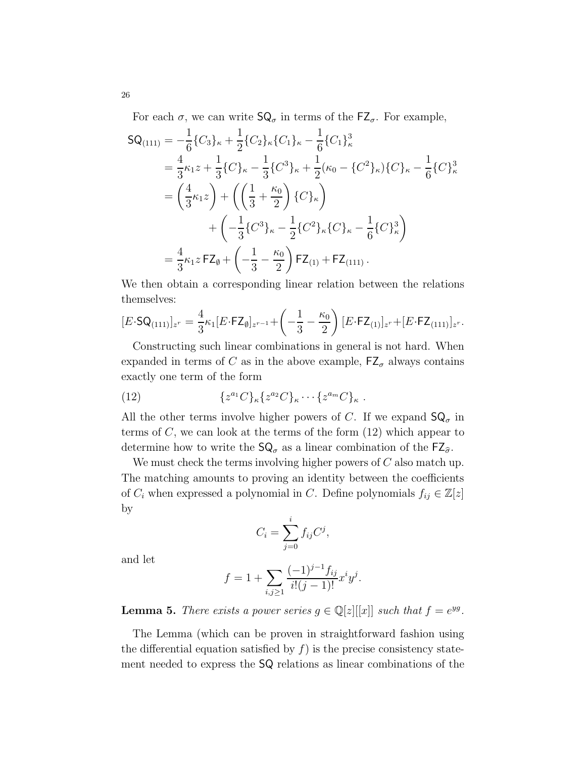For each  $\sigma$ , we can write  $\mathsf{SQ}_{\sigma}$  in terms of the  $\mathsf{FZ}_{\sigma}$ . For example,

$$
SQ_{(111)} = -\frac{1}{6} \{C_3\}_{\kappa} + \frac{1}{2} \{C_2\}_{\kappa} \{C_1\}_{\kappa} - \frac{1}{6} \{C_1\}_{\kappa}^3
$$
  
\n
$$
= \frac{4}{3} \kappa_1 z + \frac{1}{3} \{C\}_{\kappa} - \frac{1}{3} \{C^3\}_{\kappa} + \frac{1}{2} (\kappa_0 - \{C^2\}_{\kappa}) \{C\}_{\kappa} - \frac{1}{6} \{C\}_{\kappa}^3
$$
  
\n
$$
= \left(\frac{4}{3} \kappa_1 z\right) + \left(\left(\frac{1}{3} + \frac{\kappa_0}{2}\right) \{C\}_{\kappa}\right)
$$
  
\n
$$
+ \left(-\frac{1}{3} \{C^3\}_{\kappa} - \frac{1}{2} \{C^2\}_{\kappa} \{C\}_{\kappa} - \frac{1}{6} \{C\}_{\kappa}^3\right)
$$
  
\n
$$
= \frac{4}{3} \kappa_1 z \, \mathsf{FZ}_{\emptyset} + \left(-\frac{1}{3} - \frac{\kappa_0}{2}\right) \mathsf{FZ}_{(1)} + \mathsf{FZ}_{(111)}.
$$

We then obtain a corresponding linear relation between the relations themselves:

$$
[E \cdot \mathsf{SQ}_{(111)}]_{z^r} = \frac{4}{3} \kappa_1 [E \cdot \mathsf{FZ}_{\emptyset}]_{z^{r-1}} + \left(-\frac{1}{3} - \frac{\kappa_0}{2}\right) [E \cdot \mathsf{FZ}_{(1)}]_{z^r} + [E \cdot \mathsf{FZ}_{(111)}]_{z^r}.
$$

Constructing such linear combinations in general is not hard. When expanded in terms of C as in the above example,  $FZ_{\sigma}$  always contains exactly one term of the form

(12) 
$$
\{z^{a_1}C\}_{\kappa}\{z^{a_2}C\}_{\kappa}\cdots\{z^{a_m}C\}_{\kappa}.
$$

All the other terms involve higher powers of C. If we expand  $\mathsf{SQ}_{\sigma}$  in terms of  $C$ , we can look at the terms of the form  $(12)$  which appear to determine how to write the  $SQ_{\sigma}$  as a linear combination of the  $EZ_{\hat{\sigma}}$ .

We must check the terms involving higher powers of  $C$  also match up. The matching amounts to proving an identity between the coefficients of  $C_i$  when expressed a polynomial in C. Define polynomials  $f_{ij} \in \mathbb{Z}[z]$ by

$$
C_i = \sum_{j=0}^i f_{ij} C^j,
$$

and let

$$
f = 1 + \sum_{i,j \ge 1} \frac{(-1)^{j-1} f_{ij}}{i!(j-1)!} x^i y^j.
$$

**Lemma 5.** There exists a power series  $g \in \mathbb{Q}[z][[x]]$  such that  $f = e^{yg}$ .

The Lemma (which can be proven in straightforward fashion using the differential equation satisfied by  $f$ ) is the precise consistency statement needed to express the SQ relations as linear combinations of the